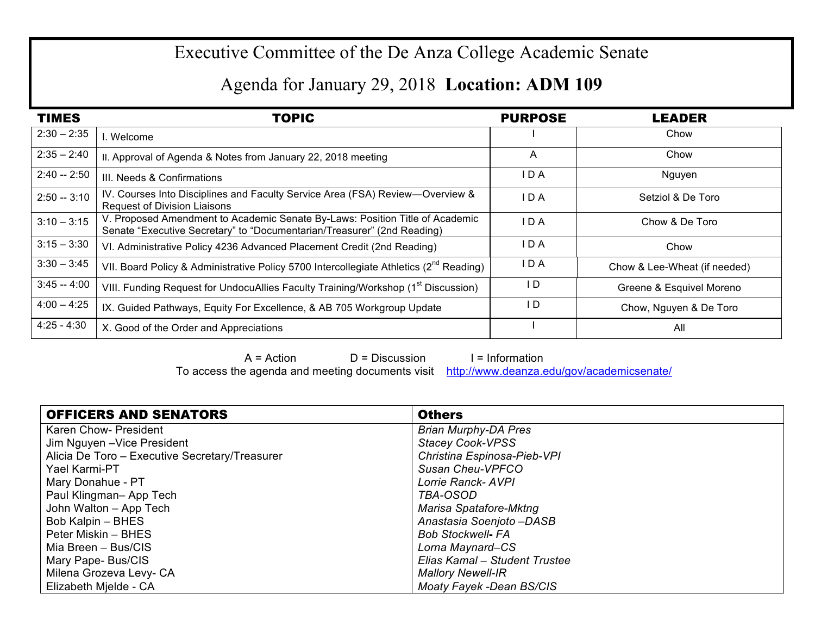## Executive Committee of the De Anza College Academic Senate

## Agenda for January 29, 2018 **Location: ADM 109**

| <b>TIMES</b>  | <b>TOPIC</b>                                                                                                                                            | <b>PURPOSE</b> | <b>LEADER</b>                |
|---------------|---------------------------------------------------------------------------------------------------------------------------------------------------------|----------------|------------------------------|
| $2:30 - 2:35$ | I. Welcome                                                                                                                                              |                | Chow                         |
| $2:35 - 2:40$ | II. Approval of Agenda & Notes from January 22, 2018 meeting                                                                                            | A              | Chow                         |
| $2:40 - 2:50$ | III. Needs & Confirmations                                                                                                                              | I D A          | Nguyen                       |
| $2:50 - 3:10$ | IV. Courses Into Disciplines and Faculty Service Area (FSA) Review—Overview &<br><b>Request of Division Liaisons</b>                                    | ∣D A           | Setziol & De Toro            |
| $3:10 - 3:15$ | V. Proposed Amendment to Academic Senate By-Laws: Position Title of Academic<br>Senate "Executive Secretary" to "Documentarian/Treasurer" (2nd Reading) | I D A          | Chow & De Toro               |
| $3:15 - 3:30$ | VI. Administrative Policy 4236 Advanced Placement Credit (2nd Reading)                                                                                  | ∣D A           | Chow                         |
| $3:30 - 3:45$ | VII. Board Policy & Administrative Policy 5700 Intercollegiate Athletics ( $2^{nd}$ Reading)                                                            | I D A          | Chow & Lee-Wheat (if needed) |
| $3:45 - 4:00$ | VIII. Funding Request for UndocuAllies Faculty Training/Workshop (1 <sup>st</sup> Discussion)                                                           | I D            | Greene & Esquivel Moreno     |
| $4:00 - 4:25$ | IX. Guided Pathways, Equity For Excellence, & AB 705 Workgroup Update                                                                                   | I D            | Chow, Nguyen & De Toro       |
| $4:25 - 4:30$ | X. Good of the Order and Appreciations                                                                                                                  |                | All                          |

 $A = Action$   $D = Discussion$  I = Information To access the agenda and meeting documents visit http://www.deanza.edu/gov/academicsenate/

| <b>OFFICERS AND SENATORS</b>                   | <b>Others</b>                 |
|------------------------------------------------|-------------------------------|
| Karen Chow- President                          | <b>Brian Murphy-DA Pres</b>   |
| Jim Nguyen - Vice President                    | <b>Stacey Cook-VPSS</b>       |
| Alicia De Toro - Executive Secretary/Treasurer | Christina Espinosa-Pieb-VPI   |
| Yael Karmi-PT                                  | Susan Cheu-VPFCO              |
| Mary Donahue - PT                              | Lorrie Ranck-AVPI             |
| Paul Klingman-App Tech                         | <b>TBA-OSOD</b>               |
| John Walton - App Tech                         | Marisa Spatafore-Mktng        |
| Bob Kalpin - BHES                              | Anastasia Soenjoto-DASB       |
| Peter Miskin – BHES                            | <b>Bob Stockwell- FA</b>      |
| Mia Breen - Bus/CIS                            | Lorna Maynard-CS              |
| Mary Pape- Bus/CIS                             | Elias Kamal - Student Trustee |
| Milena Grozeva Levy- CA                        | <b>Mallory Newell-IR</b>      |
| Elizabeth Mjelde - CA                          | Moaty Fayek -Dean BS/CIS      |